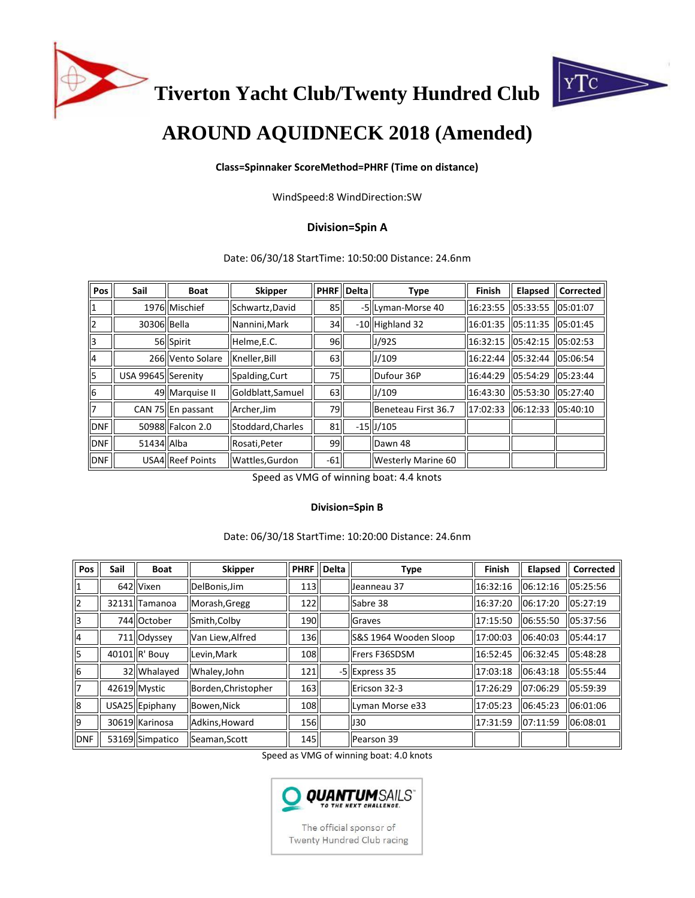

**Tiverton Yacht Club/Twenty Hundred Club**



# **AROUND AQUIDNECK 2018 (Amended)**

#### **Class=Spinnaker ScoreMethod=PHRF (Time on distance)**

WindSpeed:8 WindDirection:SW

## **Division=Spin A**

Date: 06/30/18 StartTime: 10:50:00 Distance: 24.6nm

| Pos             | <b>Sail</b>        | Boat              | <b>Skipper</b>    |                 | PHRF   Delta | Type                | <b>Finish</b> | <b>Elapsed</b> | Corrected |
|-----------------|--------------------|-------------------|-------------------|-----------------|--------------|---------------------|---------------|----------------|-----------|
| $\vert$ 1       |                    | 1976 Mischief     | Schwartz, David   | 85 <sup>I</sup> |              | -5 Lyman-Morse 40   | 16:23:55      | 05:33:55       | 05:01:07  |
| 2               | 30306 Bella        |                   | Nannini, Mark     | 34              |              | -10 Highland 32     | 16:01:35      | 05:11:35       | 05:01:45  |
| lз              |                    | 56 Spirit         | Helme, E.C.       | 96 I            |              | J/92S               | 16:32:15      | 05:42:15       | 05:02:53  |
| 4               |                    | 266 Vento Solare  | Kneller, Bill     | 63              |              | J/109               | 16:22:44      | 05:32:44       | 05:06:54  |
| 5               | USA 99645 Serenity |                   | Spalding, Curt    | 75              |              | Dufour 36P          | 16:44:29      | 05:54:29       | 05:23:44  |
| $6\overline{6}$ |                    | 49 Marquise II    | Goldblatt, Samuel | 63              |              | J/109               | 16:43:30      | 105:53:30      | 05:27:40  |
| 17              |                    | CAN 75 En passant | Archer, Jim       | 791             |              | Beneteau First 36.7 | 17:02:33      | 06:12:33       | 05:40:10  |
| DNF             |                    | 50988 Falcon 2.0  | Stoddard, Charles | 81              |              | $-15$ U/105         |               |                |           |
| DNF             | 51434 Alba         |                   | Rosati, Peter     | 99              |              | Dawn 48             |               |                |           |
| <b>DNF</b>      |                    | USA4 Reef Points  | Wattles, Gurdon   | $-61$           |              | Westerly Marine 60  |               |                |           |

Speed as VMG of winning boat: 4.4 knots

#### **Division=Spin B**

#### Date: 06/30/18 StartTime: 10:20:00 Distance: 24.6nm

| Pos            | <b>Sail</b> | <b>Boat</b>     | <b>Skipper</b>      | <b>PHRF Delta</b> | Type                  | Finish   | Elapsed   | <b>Corrected</b> |
|----------------|-------------|-----------------|---------------------|-------------------|-----------------------|----------|-----------|------------------|
| 11             |             | 642 Vixen       | DelBonis, Jim       | 113               | Jeanneau 37           | 16:32:16 | 06:12:16  | 05:25:56         |
| 2              |             | 32131 Tamanoa   | Morash, Gregg       | 122               | Sabre 38              | 16:37:20 | 06:17:20  | 105:27:19        |
| 3              |             | 744 October     | Smith, Colby        | 190               | Graves                | 17:15:50 | 06:55:50  | 05:37:56         |
| $\overline{4}$ |             | 711 Odyssey     | Van Liew, Alfred    | 136               | S&S 1964 Wooden Sloop | 17:00:03 | 06:40:03  | 05:44:17         |
| l5             |             | 40101 R' Bouy   | Levin.Mark          | 108               | Frers F36SDSM         | 16:52:45 | 106:32:45 | 05:48:28         |
| 16             |             | 32 Whalayed     | Whaley, John        | 121               | -5 Express 35         | 17:03:18 | 06:43:18  | 05:55:44         |
| 17             |             | 42619 Mystic    | Borden, Christopher | 163               | Ericson 32-3          | 17:26:29 | 07:06:29  | 05:59:39         |
| 8              |             | USA25 Epiphany  | Bowen, Nick         | 108               | Lyman Morse e33       | 17:05:23 | 06:45:23  | 06:01:06         |
| 19             |             | 30619 Karinosa  | Adkins, Howard      | <b>156</b>        | <b>J30</b>            | 17:31:59 | 07:11:59  | 06:08:01         |
| <b>IDNF</b>    |             | 53169 Simpatico | Seaman, Scott       | <b>145</b>        | Pearson 39            |          |           |                  |

Speed as VMG of winning boat: 4.0 knots